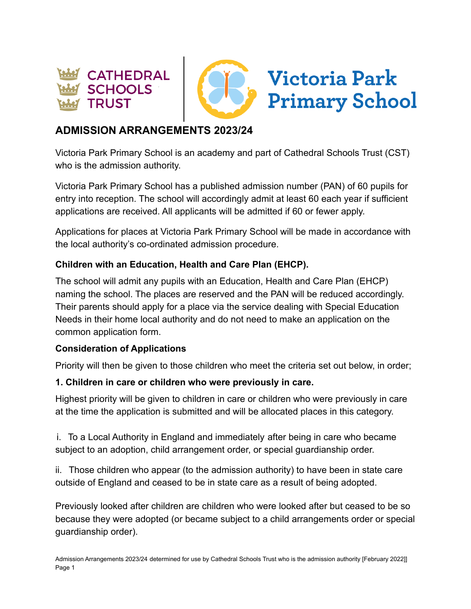



# **ADMISSION ARRANGEMENTS 2023/24**

Victoria Park Primary School is an academy and part of Cathedral Schools Trust (CST) who is the admission authority.

Victoria Park Primary School has a published admission number (PAN) of 60 pupils for entry into reception. The school will accordingly admit at least 60 each year if sufficient applications are received. All applicants will be admitted if 60 or fewer apply.

Applications for places at Victoria Park Primary School will be made in accordance with the local authority's co-ordinated admission procedure.

### **Children with an Education, Health and Care Plan (EHCP).**

The school will admit any pupils with an Education, Health and Care Plan (EHCP) naming the school. The places are reserved and the PAN will be reduced accordingly. Their parents should apply for a place via the service dealing with Special Education Needs in their home local authority and do not need to make an application on the common application form.

#### **Consideration of Applications**

Priority will then be given to those children who meet the criteria set out below, in order;

#### **1. Children in care or children who were previously in care.**

Highest priority will be given to children in care or children who were previously in care at the time the application is submitted and will be allocated places in this category.

i. To a Local Authority in England and immediately after being in care who became subject to an adoption, child arrangement order, or special guardianship order.

ii. Those children who appear (to the admission authority) to have been in state care outside of England and ceased to be in state care as a result of being adopted.

Previously looked after children are children who were looked after but ceased to be so because they were adopted (or became subject to a child arrangements order or special guardianship order).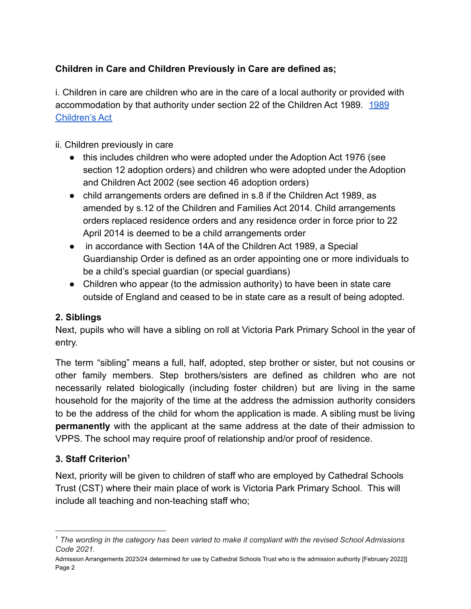# **Children in Care and Children Previously in Care are defined as;**

i. Children in care are children who are in the care of a local authority or provided with accommodation by that authority under section 22 of the Children Act [1989](https://www.legislation.gov.uk/ukpga/1989/41/contents). 1989 [Children's Act](https://www.legislation.gov.uk/ukpga/1989/41/contents)

### ii. Children previously in care

- this includes children who were adopted under the Adoption Act 1976 (see section 12 adoption orders) and children who were adopted under the Adoption and Children Act 2002 (see section 46 adoption orders)
- child arrangements orders are defined in s.8 if the Children Act 1989, as amended by s.12 of the Children and Families Act 2014. Child arrangements orders replaced residence orders and any residence order in force prior to 22 April 2014 is deemed to be a child arrangements order
- in accordance with Section 14A of the Children Act 1989, a Special Guardianship Order is defined as an order appointing one or more individuals to be a child's special guardian (or special guardians)
- Children who appear (to the admission authority) to have been in state care outside of England and ceased to be in state care as a result of being adopted.

#### **2. Siblings**

Next, pupils who will have a sibling on roll at Victoria Park Primary School in the year of entry.

The term "sibling" means a full, half, adopted, step brother or sister, but not cousins or other family members. Step brothers/sisters are defined as children who are not necessarily related biologically (including foster children) but are living in the same household for the majority of the time at the address the admission authority considers to be the address of the child for whom the application is made. A sibling must be living **permanently** with the applicant at the same address at the date of their admission to VPPS. The school may require proof of relationship and/or proof of residence.

#### **3. Staff Criterion<sup>1</sup>**

Next, priority will be given to children of staff who are employed by Cathedral Schools Trust (CST) where their main place of work is Victoria Park Primary School. This will include all teaching and non-teaching staff who;

<sup>1</sup> *The wording in the category has been varied to make it compliant with the revised School Admissions Code 2021.*

Admission Arrangements 2023/24 determined for use by Cathedral Schools Trust who is the admission authority [February 2022]] Page 2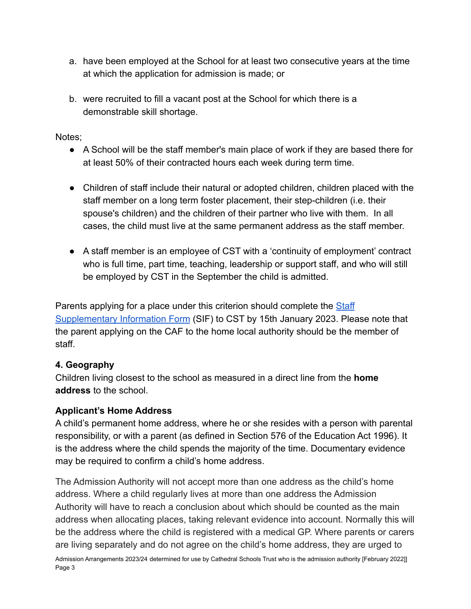- a. have been employed at the School for at least two consecutive years at the time at which the application for admission is made; or
- b. were recruited to fill a vacant post at the School for which there is a demonstrable skill shortage.

Notes;

- A School will be the staff member's main place of work if they are based there for at least 50% of their contracted hours each week during term time.
- Children of staff include their natural or adopted children, children placed with the staff member on a long term foster placement, their step-children (i.e. their spouse's children) and the children of their partner who live with them. In all cases, the child must live at the same permanent address as the staff member.
- A staff member is an employee of CST with a 'continuity of employment' contract who is full time, part time, teaching, leadership or support staff, and who will still be employed by CST in the September the child is admitted.

Parents applying for a place under this criterion should complete the [Staff](https://docs.google.com/document/d/18Eghqdz5V4b8vh3glRR-tK7FAoKjucql/edit?usp=sharing&ouid=111971969837556975984&rtpof=true&sd=true) [Supplementary Information Form](https://docs.google.com/document/d/18Eghqdz5V4b8vh3glRR-tK7FAoKjucql/edit?usp=sharing&ouid=111971969837556975984&rtpof=true&sd=true) (SIF) to CST by 15th January 2023. Please note that the parent applying on the CAF to the home local authority should be the member of staff.

# **4. Geography**

Children living closest to the school as measured in a direct line from the **home address** to the school.

#### **Applicant's Home Address**

A child's permanent home address, where he or she resides with a person with parental responsibility, or with a parent (as defined in Section 576 of the Education Act 1996). It is the address where the child spends the majority of the time. Documentary evidence may be required to confirm a child's home address.

The Admission Authority will not accept more than one address as the child's home address. Where a child regularly lives at more than one address the Admission Authority will have to reach a conclusion about which should be counted as the main address when allocating places, taking relevant evidence into account. Normally this will be the address where the child is registered with a medical GP. Where parents or carers are living separately and do not agree on the child's home address, they are urged to Admission Arrangements 2023/24 determined for use by Cathedral Schools Trust who is the admission authority [February 2022]] Page 3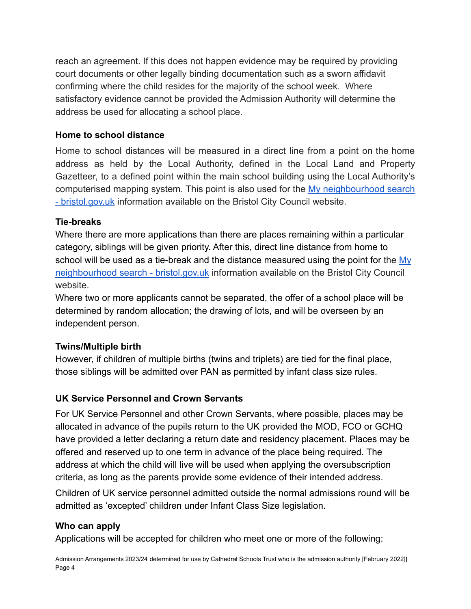reach an agreement. If this does not happen evidence may be required by providing court documents or other legally binding documentation such as a sworn affidavit confirming where the child resides for the majority of the school week. Where satisfactory evidence cannot be provided the Admission Authority will determine the address be used for allocating a school place.

#### **Home to school distance**

Home to school distances will be measured in a direct line from a point on the home address as held by the Local Authority, defined in the Local Land and Property Gazetteer, to a defined point within the main school building using the Local Authority's computerised mapping system. This point is also used for the My [neighbourhood](https://www.bristol.gov.uk/people-communities/my-neighbourhood-search) search [- bristol.gov.uk](https://www.bristol.gov.uk/people-communities/my-neighbourhood-search) information available on the Bristol City Council website.

#### **Tie-breaks**

Where there are more applications than there are places remaining within a particular category, siblings will be given priority. After this, direct line distance from home to school will be used as a tie-break and the distance measured using the point for the [My](https://www.bristol.gov.uk/people-communities/my-neighbourhood-search) [neighbourhood search - bristol.gov.uk](https://www.bristol.gov.uk/people-communities/my-neighbourhood-search) information available on the Bristol City Council website.

Where two or more applicants cannot be separated, the offer of a school place will be determined by random allocation; the drawing of lots, and will be overseen by an independent person.

#### **Twins/Multiple birth**

However, if children of multiple births (twins and triplets) are tied for the final place, those siblings will be admitted over PAN as permitted by infant class size rules.

#### **UK Service Personnel and Crown Servants**

For UK Service Personnel and other Crown Servants, where possible, places may be allocated in advance of the pupils return to the UK provided the MOD, FCO or GCHQ have provided a letter declaring a return date and residency placement. Places may be offered and reserved up to one term in advance of the place being required. The address at which the child will live will be used when applying the oversubscription criteria, as long as the parents provide some evidence of their intended address.

Children of UK service personnel admitted outside the normal admissions round will be admitted as 'excepted' children under Infant Class Size legislation.

#### **Who can apply**

Applications will be accepted for children who meet one or more of the following:

Admission Arrangements 2023/24 determined for use by Cathedral Schools Trust who is the admission authority [February 2022]] Page 4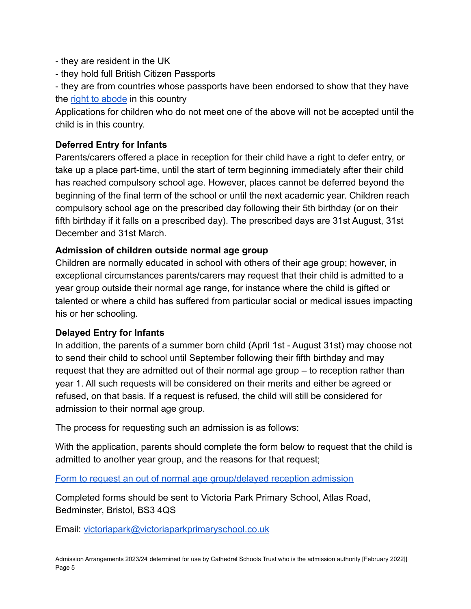- they are resident in the UK

- they hold full British Citizen Passports

- they are from countries whose passports have been endorsed to show that they have the [right to abode](https://www.gov.uk/right-of-abode) in this country

Applications for children who do not meet one of the above will not be accepted until the child is in this country.

# **Deferred Entry for Infants**

Parents/carers offered a place in reception for their child have a right to defer entry, or take up a place part-time, until the start of term beginning immediately after their child has reached compulsory school age. However, places cannot be deferred beyond the beginning of the final term of the school or until the next academic year. Children reach compulsory school age on the prescribed day following their 5th birthday (or on their fifth birthday if it falls on a prescribed day). The prescribed days are 31st August, 31st December and 31st March.

#### **Admission of children outside normal age group**

Children are normally educated in school with others of their age group; however, in exceptional circumstances parents/carers may request that their child is admitted to a year group outside their normal age range, for instance where the child is gifted or talented or where a child has suffered from particular social or medical issues impacting his or her schooling.

#### **Delayed Entry for Infants**

In addition, the parents of a summer born child (April 1st - August 31st) may choose not to send their child to school until September following their fifth birthday and may request that they are admitted out of their normal age group – to reception rather than year 1. All such requests will be considered on their merits and either be agreed or refused, on that basis. If a request is refused, the child will still be considered for admission to their normal age group.

The process for requesting such an admission is as follows:

With the application, parents should complete the form below to request that the child is admitted to another year group, and the reasons for that request;

[Form to request an out of normal age group/delayed reception admission](https://docs.google.com/document/d/1sHT67B_Gxgr8vspm-Q6M5F-hroqs7b5m/edit?usp=sharing&ouid=111971969837556975984&rtpof=true&sd=true)

Completed forms should be sent to Victoria Park Primary School, Atlas Road, Bedminster, Bristol, BS3 4QS

Email: [victoriapark@victoriaparkprimaryschool.co.uk](mailto:victoriapark@victoriaparkprimaryschool.co.uk)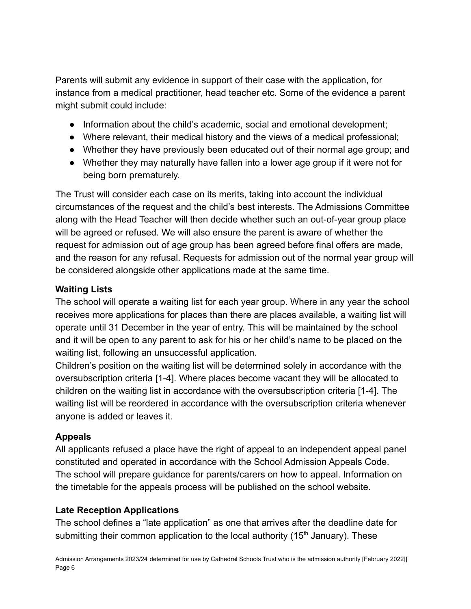Parents will submit any evidence in support of their case with the application, for instance from a medical practitioner, head teacher etc. Some of the evidence a parent might submit could include:

- Information about the child's academic, social and emotional development;
- Where relevant, their medical history and the views of a medical professional;
- Whether they have previously been educated out of their normal age group; and
- Whether they may naturally have fallen into a lower age group if it were not for being born prematurely.

The Trust will consider each case on its merits, taking into account the individual circumstances of the request and the child's best interests. The Admissions Committee along with the Head Teacher will then decide whether such an out-of-year group place will be agreed or refused. We will also ensure the parent is aware of whether the request for admission out of age group has been agreed before final offers are made, and the reason for any refusal. Requests for admission out of the normal year group will be considered alongside other applications made at the same time.

# **Waiting Lists**

The school will operate a waiting list for each year group. Where in any year the school receives more applications for places than there are places available, a waiting list will operate until 31 December in the year of entry. This will be maintained by the school and it will be open to any parent to ask for his or her child's name to be placed on the waiting list, following an unsuccessful application.

Children's position on the waiting list will be determined solely in accordance with the oversubscription criteria [1-4]. Where places become vacant they will be allocated to children on the waiting list in accordance with the oversubscription criteria [1-4]. The waiting list will be reordered in accordance with the oversubscription criteria whenever anyone is added or leaves it.

# **Appeals**

All applicants refused a place have the right of appeal to an independent appeal panel constituted and operated in accordance with the School Admission Appeals Code. The school will prepare guidance for parents/carers on how to appeal. Information on the timetable for the appeals process will be published on the school website.

# **Late Reception Applications**

The school defines a "late application" as one that arrives after the deadline date for submitting their common application to the local authority ( $15<sup>th</sup>$  January). These